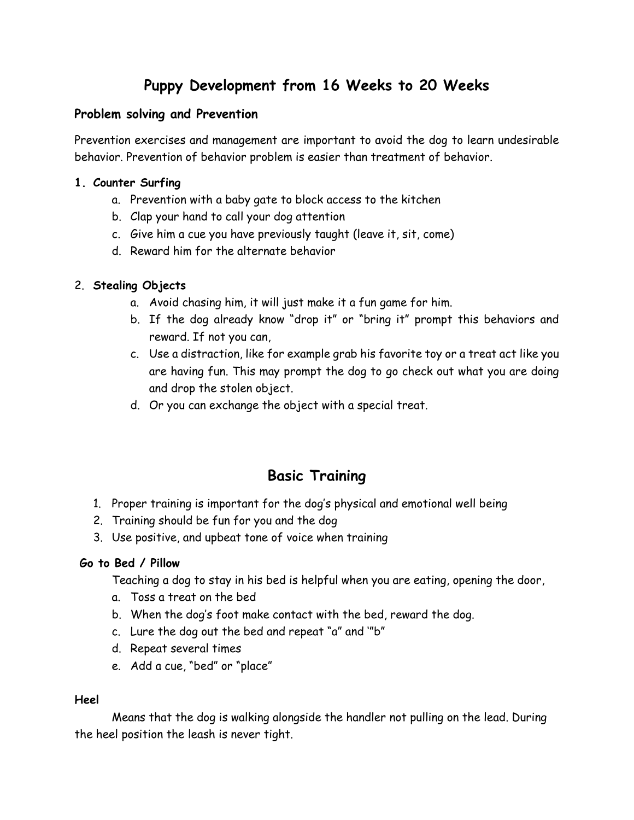# **Puppy Development from 16 Weeks to 20 Weeks**

## **Problem solving and Prevention**

Prevention exercises and management are important to avoid the dog to learn undesirable behavior. Prevention of behavior problem is easier than treatment of behavior.

### **1. Counter Surfing**

- a. Prevention with a baby gate to block access to the kitchen
- b. Clap your hand to call your dog attention
- c. Give him a cue you have previously taught (leave it, sit, come)
- d. Reward him for the alternate behavior

## 2. **Stealing Objects**

- a. Avoid chasing him, it will just make it a fun game for him.
- b. If the dog already know "drop it" or "bring it" prompt this behaviors and reward. If not you can,
- c. Use a distraction, like for example grab his favorite toy or a treat act like you are having fun. This may prompt the dog to go check out what you are doing and drop the stolen object.
- d. Or you can exchange the object with a special treat.

## **Basic Training**

- 1. Proper training is important for the dog's physical and emotional well being
- 2. Training should be fun for you and the dog
- 3. Use positive, and upbeat tone of voice when training

## **Go to Bed / Pillow**

Teaching a dog to stay in his bed is helpful when you are eating, opening the door,

- a. Toss a treat on the bed
- b. When the dog's foot make contact with the bed, reward the dog.
- c. Lure the dog out the bed and repeat "a" and '"b"
- d. Repeat several times
- e. Add a cue, "bed" or "place"

## **Heel**

Means that the dog is walking alongside the handler not pulling on the lead. During the heel position the leash is never tight.